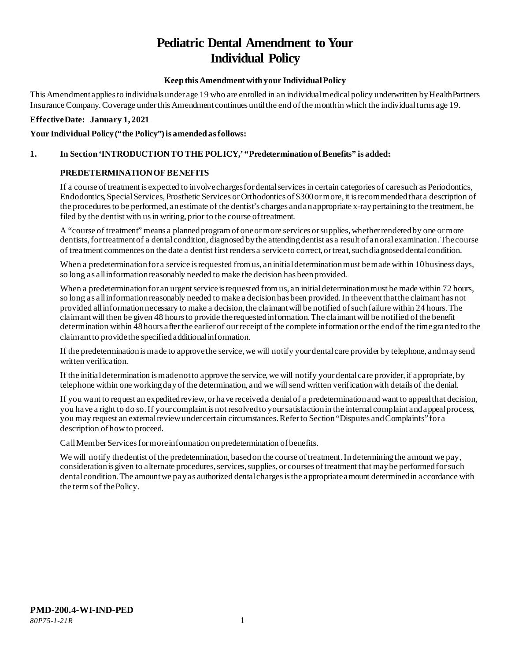# **Pediatric Dental Amendment to Your Individual Policy**

# **Keep this Amendment with your Individual Policy**

This Amendment applies to individuals under age 19 who are enrolled in an individual medical policy underwritten by HealthPartners Insurance Company. Coverage under this Amendment continues until the end of the month in which the individual turns age 19.

#### **Effective Date: January 1, 2021**

## Your Individual Policy ("the Policy") is amended as follows:

# **1. In Section 'INTRODUCTION TO THE POLICY,' "Predetermination of Benefits" is added:**

## **PREDETERMINATION OF BENEFITS**

If a course of treatment is expected to involve charges for dental services in certain categories of care such as Periodontics, Endodontics, Special Services, Prosthetic Services or Orthodontics of \$300 or more, it is recommended that a description of the procedures to be performed, an estimate of the dentist's charges and an appropriate x-ray pertaining to the treatment, be filed by the dentist with us in writing, prior to the course of treatment.

A "course of treatment" means a planned program of one or more services or supplies, whether rendered by one or more dentists, for treatment of a dental condition, diagnosed by the attending dentist as a result of an oral examination. The course of treatment commences on the date a dentist first renders a service to correct, or treat, such diagnosed dental condition.

When a predetermination for a service is requested from us, an initial determination must be made within 10 business days, so long as all information reasonably needed to make the decision has been provided.

When a predetermination for an urgent service is requested from us, an initial determination must be made within 72 hours, so long as all information reasonably needed to make a decision has been provided. In the event that the claimant has not provided all information necessary to make a decision, the claimant will be notified of such failure within 24 hours. The claimant will then be given 48 hours to provide the requested information. The claimant will be notified of the benefit determination within 48 hours after the earlier of our receipt of the complete information or the end of the time granted to the claimant to provide the specified additional information.

If the predetermination is made to approve the service, we will notify your dental care provider by telephone, and may send written verification.

If the initial determination is made not to approve the service, we will notify your dental care provider, if appropriate, by telephone within one working day of the determination, and we will send written verification with details of the denial.

If you want to request an expedited review, or have received a denial of a predetermination and want to appeal that decision, you have a right to do so. If your complaint is not resolved to your satisfaction in the internal complaint and appeal process, you may request an external review under certain circumstances. Refer to Section "Disputes and Complaints" for a description of how to proceed.

Call Member Services for more information on predetermination of benefits.

We will notify the dentist of the predetermination, based on the course of treatment. In determining the amount we pay, consideration is given to alternate procedures, services, supplies, or courses of treatment that may be performed for such dental condition. The amount we pay as authorized dental charges is the appropriate amount determined in accordance with the terms of thePolicy.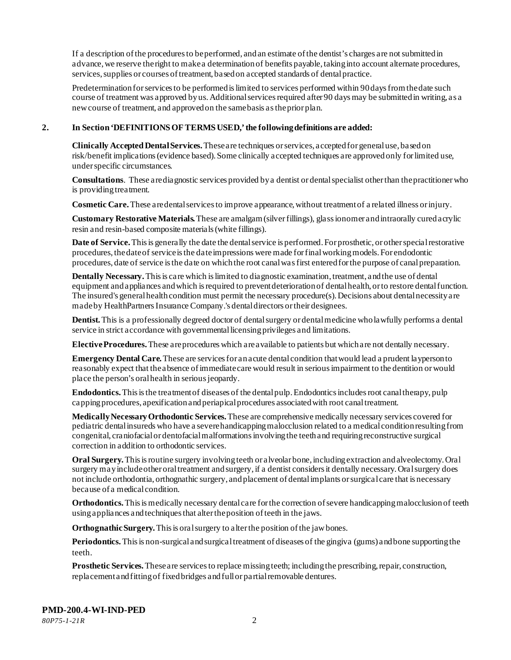If a description of the procedures to be performed, and an estimate of the dentist's charges are not submitted in advance, we reserve the right to make a determination of benefits payable, taking into account alternate procedures, services, supplies or courses of treatment, based on accepted standards of dental practice.

Predetermination for services to be performed is limited to services performed within 90 days from the date such course of treatment was approved by us. Additional services required after 90 days may be submitted in writing, as a new course of treatment, and approved on the same basis as the prior plan.

#### **2. In Section 'DEFINITIONS OF TERMS USED,' the following definitions are added:**

**Clinically Accepted Dental Services.** These are techniques or services, accepted for general use, based on risk/benefit implications (evidence based). Some clinically accepted techniques are approved only for limited use, under specific circumstances.

**Consultations**. These are diagnostic services provided by a dentist or dental specialist other than the practitioner who is providing treatment.

**Cosmetic Care.**These are dental services to improve appearance, without treatment of a related illness or injury.

**Customary Restorative Materials.** These are amalgam (silver fillings), glass ionomer and intraorally cured acrylic resin and resin-based composite materials (white fillings).

**Date of Service.** This is generally the date the dental service is performed. For prosthetic, or other special restorative procedures, the date of service is the date impressions were made for final working models. For endodontic procedures, date of service is the date on which the root canal was first entered for the purpose of canal preparation.

**Dentally Necessary.**This is care which is limited to diagnostic examination, treatment, and the use of dental equipment and appliances and which is required to prevent deterioration of dental health, or to restore dental function. The insured's general health condition must permit the necessary procedure(s). Decisions about dental necessity are made by HealthPartners Insurance Company.'s dental directors or their designees.

**Dentist.**This is a professionally degreed doctor of dental surgery or dental medicine who lawfully performs a dental service in strict accordance with governmental licensing privileges and limitations.

**Elective Procedures.**These are procedures which are available to patients but which are not dentally necessary.

**Emergency Dental Care.** These are services for an acute dental condition that would lead a prudent layperson to reasonably expect that the absence of immediate care would result in serious impairment to the dentition or would place the person's oral health in serious jeopardy.

**Endodontics.**This is the treatment of diseases of the dental pulp. Endodontics includes root canal therapy, pulp capping procedures, apexification and periapical procedures associated with root canal treatment.

**Medically Necessary Orthodontic Services.**These are comprehensive medically necessary services covered for pediatric dental insureds who have a severe handicapping malocclusion related to a medical condition resulting from congenital, craniofacial or dentofacial malformations involving the teeth and requiring reconstructive surgical correction in addition to orthodontic services.

**Oral Surgery.** This is routine surgery involving teeth or alveolar bone, including extraction and alveolectomy. Oral surgery may include other oral treatment and surgery, if a dentist considers it dentally necessary. Oral surgery does not include orthodontia, orthognathic surgery, and placement of dental implants or surgical care that is necessary because of a medical condition.

**Orthodontics.** This is medically necessary dental care for the correction of severe handicapping malocclusion of teeth using appliances and techniques that alter the position of teeth in the jaws.

**Orthognathic Surgery.** This is oral surgery to alter the position of the jaw bones.

**Periodontics.** This is non-surgical and surgical treatment of diseases of the gingiva (gums) and bone supporting the teeth.

**Prosthetic Services.**These are services to replace missing teeth; including the prescribing, repair, construction, replacement and fitting of fixed bridges and full or partial removable dentures.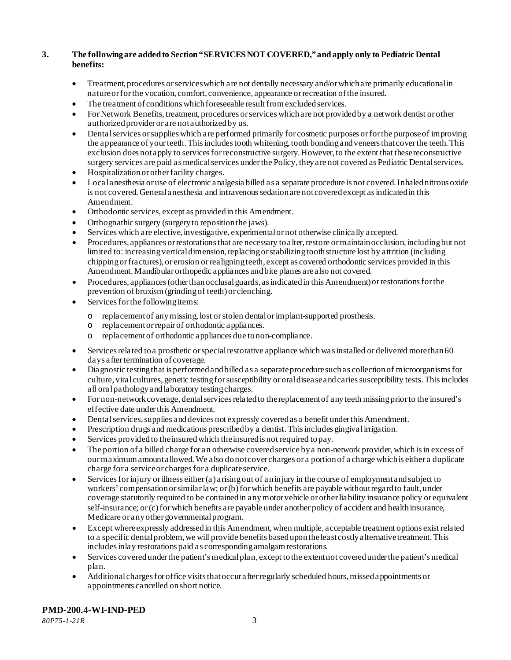# **3. The following are added to Section "SERVICES NOT COVERED," and apply only to Pediatric Dental benefits:**

- Treatment, procedures or services which are not dentally necessary and/or which are primarily educational in nature or for the vocation, comfort, convenience, appearance or recreation of the insured.
- The treatment of conditions which foreseeable result from excluded services.
- For Network Benefits, treatment, procedures or services which are not provided by a network dentist or other authorized provider or are not authorized by us.
- Dental services or supplies which are performed primarily for cosmetic purposes or for the purpose of improving the appearance of your teeth. This includes tooth whitening, tooth bonding and veneers that cover the teeth. This exclusion does not apply to services for reconstructive surgery. However, to the extent that these reconstructive surgery services are paid as medical services under the Policy, they are not covered as Pediatric Dental services.
- Hospitalization or other facility charges.
- Local anesthesia or use of electronic analgesia billed as a separate procedure is not covered. Inhaled nitrous oxide is not covered. General anesthesia and intravenous sedation are not covered except as indicated in this Amendment.
- Orthodontic services, except as provided in this Amendment.
- Orthognathic surgery (surgery to reposition the jaws).
- Services which are elective, investigative, experimental or not otherwise clinically accepted.
- Procedures, appliances or restorations that are necessary to alter, restore or maintain occlusion, including but not limited to: increasing vertical dimension, replacing or stabilizing tooth structure lost by attrition (including chipping or fractures), or erosion or realigning teeth, except as covered orthodontic services provided in this Amendment. Mandibular orthopedic appliances and bite planes are also not covered.
- Procedures, appliances (other than occlusal guards, as indicated in this Amendment) or restorations for the prevention of bruxism (grinding of teeth) or clenching.
- Services for the following items:
	- o replacement of any missing, lost or stolen dental or implant-supported prosthesis.
	- replacement or repair of orthodontic appliances.
	- o replacement of orthodontic appliances due to non-compliance.
- Services related to a prosthetic or special restorative appliance which was installed or delivered more than 60 days after termination of coverage.
- Diagnostic testing that is performed and billed as a separate procedure such as collection of microorganisms for culture, viral cultures, genetic testing for susceptibility or oral disease and caries susceptibility tests. This includes all oral pathology and laboratory testing charges.
- For non-network coverage, dental services related to the replacement of any teeth missing prior to the insured's effective date under this Amendment.
- Dental services, supplies and devices not expressly covered as a benefit under this Amendment.
- Prescription drugs and medications prescribed by a dentist. This includes gingival irrigation.
- Services provided to the insured which the insured is not required to pay.
- The portion of a billed charge for an otherwise covered service by a non-network provider, which is in excess of our maximum amount allowed. We also do not cover charges or a portion of a charge which is either a duplicate charge for a service or charges for a duplicate service.
- Services for injury or illness either (a) arising out of an injury in the course of employment and subject to workers' compensation or similar law; or (b) for which benefits are payable without regard to fault, under coverage statutorily required to be contained in any motor vehicle or other liability insurance policy or equivalent self-insurance; or (c) for which benefits are payable under another policy of accident and health insurance, Medicare or any other governmental program.
- Except where expressly addressed in this Amendment, when multiple, acceptable treatment options exist related to a specific dental problem, we will provide benefits based upon the least costly alternative treatment. This includes inlay restorations paid as corresponding amalgam restorations.
- Services covered under the patient's medical plan, except to the extent not covered under the patient's medical plan.
- Additional charges for office visits that occur after regularly scheduled hours, missed appointments or appointments cancelled on short notice.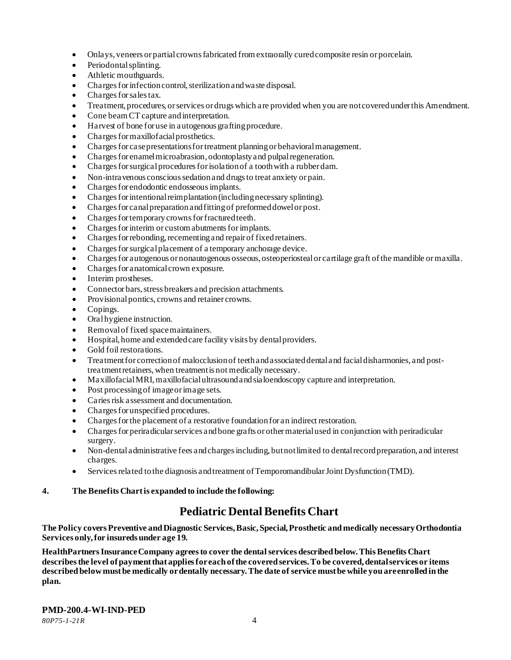- Onlays, veneers or partial crowns fabricated from extraorally cured composite resin or porcelain.
- Periodontal splinting.
- Athletic mouthguards.
- Charges for infection control, sterilization and waste disposal.
- Charges for sales tax.
- Treatment, procedures, or services or drugs which are provided when you are not covered under this Amendment.
- Cone beam CT capture and interpretation.
- Harvest of bone for use in autogenous grafting procedure.
- Charges for maxillofacial prosthetics.
- Charges for case presentations for treatment planning or behavioral management.
- Charges for enamel microabrasion, odontoplasty and pulpal regeneration.
- Charges for surgical procedures for isolationof a tooth with a rubber dam.
- Non-intravenous conscious sedation and drugs to treat anxiety or pain.
- Charges for endodontic endosseous implants.
- Charges for intentional reimplantation (including necessary splinting).
- Charges for canal preparation and fitting of preformed dowel or post.
- Charges for temporary crowns for fractured teeth.
- Charges for interim or custom abutments for implants.
- Charges for rebonding, recementing and repair of fixed retainers.
- Charges for surgical placement of a temporary anchorage device.
- Charges for autogenous or nonautogenous osseous, osteoperiosteal or cartilage graft of the mandible or maxilla.
- Charges for anatomical crown exposure.
- Interim prostheses.
- Connector bars, stress breakers and precision attachments.
- Provisional pontics, crowns and retainer crowns.
- Copings.
- Oral hygiene instruction.
- Removal of fixed space maintainers.
- Hospital, home and extended care facility visits by dental providers.
- Gold foil restorations.
- Treatment for correction of malocclusion of teeth and associated dental and facial disharmonies, and posttreatment retainers, when treatment is not medically necessary.
- Maxillofacial MRI, maxillofacial ultrasound and sialoendoscopy capture and interpretation.
- Post processing of image or image sets.
- Caries risk assessment and documentation.
- Charges for unspecified procedures.
- Charges for the placement of a restorative foundation for an indirect restoration.
- Charges for periradicular services and bone grafts or other material used in conjunction with periradicular surgery.
- Non-dental administrative fees and charges including, but not limited to dental record preparation, and interest charges.
- Services related to the diagnosis and treatment of Temporomandibular Joint Dysfunction (TMD).
- **4. The Benefits Chart is expanded to include the following:**

# **Pediatric Dental Benefits Chart**

**The Policy covers Preventive and Diagnostic Services, Basic, Special, Prosthetic and medically necessary Orthodontia Services only, for insureds under age 19.**

**HealthPartners Insurance Company agrees to cover the dental services described below. This Benefits Chart describes the level of payment that applies for each of the covered services. To be covered, dental services or items described below must be medically or dentally necessary. The date of service must be while you are enrolled in the plan.**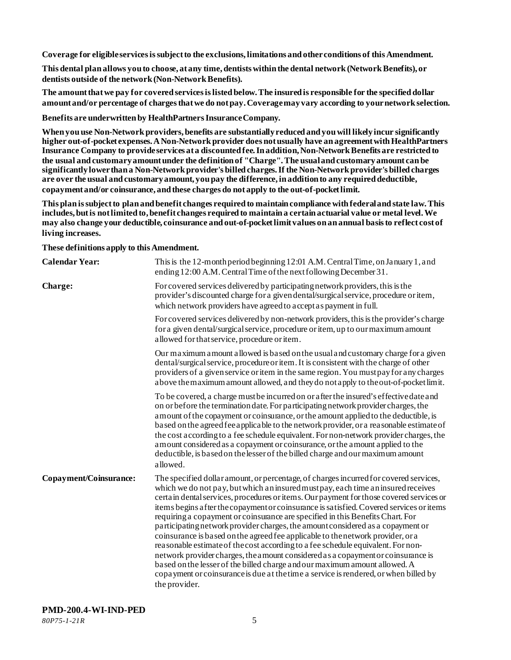**Coverage for eligible services is subject to the exclusions, limitations and other conditions of this Amendment.**

**This dental plan allows you to choose, at any time, dentists within the dental network (Network Benefits), or dentists outside of the network (Non-Network Benefits).**

**The amount that we pay for covered services is listed below. The insuredis responsible for the specified dollar amount and/or percentage of charges that we do not pay. Coverage may vary according to your network selection.**

**Benefits are underwritten by HealthPartners Insurance Company.**

**When you use Non-Network providers, benefits are substantially reduced and you will likely incur significantly higher out-of-pocket expenses. A Non-Network provider does not usually have an agreement with HealthPartners Insurance Company to provide services at a discounted fee. In addition, Non-Network Benefits are restricted to the usual and customary amount under the definition of "Charge". The usual and customary amount can be significantly lower than a Non-Network provider's billed charges. If the Non-Network provider's billed charges are over the usual and customary amount, you pay the difference, in addition to any required deductible, copayment and/or coinsurance, and these charges do not apply to the out-of-pocket limit.**

**This plan is subject to plan and benefit changes required to maintain compliance with federal and state law. This includes, but is not limited to, benefit changes required to maintain a certain actuarial value or metal level. We may also change your deductible, coinsurance and out-of-pocket limit values on an annual basis to reflect cost of living increases.**

**These definitions apply to this Amendment.**

| <b>Calendar Year:</b>  | This is the 12-month period beginning 12:01 A.M. Central Time, on January 1, and<br>ending 12:00 A.M. Central Time of the next following December 31.                                                                                                                                                                                                                                                                                                                                                                                                                                                                                                                                                                                                                                                                                                                                                                                                                                    |
|------------------------|------------------------------------------------------------------------------------------------------------------------------------------------------------------------------------------------------------------------------------------------------------------------------------------------------------------------------------------------------------------------------------------------------------------------------------------------------------------------------------------------------------------------------------------------------------------------------------------------------------------------------------------------------------------------------------------------------------------------------------------------------------------------------------------------------------------------------------------------------------------------------------------------------------------------------------------------------------------------------------------|
| Charge:                | For covered services delivered by participating network providers, this is the<br>provider's discounted charge for a given dental/surgical service, procedure or item,<br>which network providers have agreed to accept as payment in full.                                                                                                                                                                                                                                                                                                                                                                                                                                                                                                                                                                                                                                                                                                                                              |
|                        | For covered services delivered by non-network providers, this is the provider's charge<br>for a given dental/surgical service, procedure or item, up to our maximum amount<br>allowed for that service, procedure or item.                                                                                                                                                                                                                                                                                                                                                                                                                                                                                                                                                                                                                                                                                                                                                               |
|                        | Our maximum a mount a llowed is based on the usual and customary charge for a given<br>dental/surgical service, procedure or item. It is consistent with the charge of other<br>providers of a given service or item in the same region. You must pay for any charges<br>above the maximum amount allowed, and they do not apply to the out-of-pocket limit.                                                                                                                                                                                                                                                                                                                                                                                                                                                                                                                                                                                                                             |
|                        | To be covered, a charge must be incurred on or after the insured's effective date and<br>on or before the termination date. For participating network provider charges, the<br>amount of the copayment or coinsurance, or the amount applied to the deductible, is<br>based on the agreed fee applicable to the network provider, or a reasonable estimate of<br>the cost according to a fee schedule equivalent. For non-network provider charges, the<br>amount considered as a copayment or coinsurance, or the amount applied to the<br>deductible, is based on the lesser of the billed charge and our maximum amount<br>allowed.                                                                                                                                                                                                                                                                                                                                                   |
| Copayment/Coinsurance: | The specified dollar amount, or percentage, of charges incurred for covered services,<br>which we do not pay, but which an insured must pay, each time an insured receives<br>certain dental services, procedures or items. Our payment for those covered services or<br>items begins a fter the copayment or coinsurance is satisfied. Covered services or items<br>requiring a copayment or coinsurance are specified in this Benefits Chart. For<br>participating network provider charges, the amount considered as a copayment or<br>coinsurance is based on the agreed fee applicable to the network provider, or a<br>reasonable estimate of the cost according to a fee schedule equivalent. For non-<br>network provider charges, the amount considered as a copayment or coinsurance is<br>based on the lesser of the billed charge and our maximum amount allowed. A<br>copayment or coinsurance is due at the time a service is rendered, or when billed by<br>the provider. |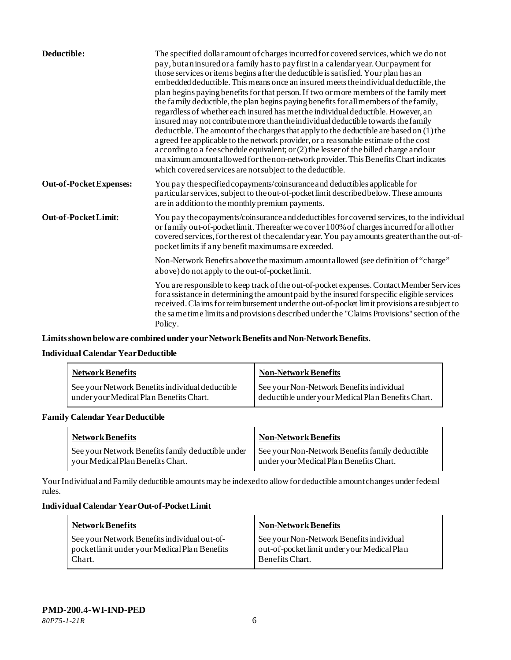| Deductible:                    | The specified dollar amount of charges incurred for covered services, which we do not<br>pay, but an insured or a family has to pay first in a calendar year. Our payment for<br>those services or items begins a fter the deductible is satisfied. Your plan has an<br>embedded deductible. This means once an insured meets the individual deductible, the<br>plan begins paying benefits for that person. If two or more members of the family meet<br>the family deductible, the plan begins paying benefits for all members of the family,<br>regardless of whether each insured has met the individual deductible. However, an<br>insured may not contribute more than the individual deductible towards the family<br>deductible. The amount of the charges that apply to the deductible are based on (1) the<br>a greed fee applicable to the network provider, or a reasonable estimate of the cost<br>according to a fee schedule equivalent; or (2) the lesser of the billed charge and our<br>maximum amount a llowed for the non-network provider. This Benefits Chart indicates<br>which covered services are not subject to the deductible. |
|--------------------------------|------------------------------------------------------------------------------------------------------------------------------------------------------------------------------------------------------------------------------------------------------------------------------------------------------------------------------------------------------------------------------------------------------------------------------------------------------------------------------------------------------------------------------------------------------------------------------------------------------------------------------------------------------------------------------------------------------------------------------------------------------------------------------------------------------------------------------------------------------------------------------------------------------------------------------------------------------------------------------------------------------------------------------------------------------------------------------------------------------------------------------------------------------------|
| <b>Out-of-Pocket Expenses:</b> | You pay the specified copayments/coinsurance and deductibles applicable for<br>particular services, subject to the out-of-pocket limit described below. These amounts<br>are in addition to the monthly premium payments.                                                                                                                                                                                                                                                                                                                                                                                                                                                                                                                                                                                                                                                                                                                                                                                                                                                                                                                                  |
| Out-of-Pocket Limit:           | You pay the copayments/coinsurance and deductibles for covered services, to the individual<br>or family out-of-pocket limit. Thereafter we cover 100% of charges incurred for all other<br>covered services, for the rest of the calendar year. You pay a mounts greater than the out-of-<br>pocket limits if any benefit maximums are exceeded.                                                                                                                                                                                                                                                                                                                                                                                                                                                                                                                                                                                                                                                                                                                                                                                                           |
|                                | Non-Network Benefits a bove the maximum amount allowed (see definition of "charge"<br>above) do not apply to the out-of-pocket limit.                                                                                                                                                                                                                                                                                                                                                                                                                                                                                                                                                                                                                                                                                                                                                                                                                                                                                                                                                                                                                      |
|                                | You are responsible to keep track of the out-of-pocket expenses. Contact Member Services<br>for assistance in determining the amount paid by the insured for specific eligible services<br>received. Claims for reimbursement under the out-of-pocket limit provisions are subject to<br>the same time limits and provisions described under the "Claims Provisions" section of the<br>Policy.                                                                                                                                                                                                                                                                                                                                                                                                                                                                                                                                                                                                                                                                                                                                                             |

**Limits shown below are combined under your Network Benefits and Non-Network Benefits.**

# **Individual Calendar Year Deductible**

| <b>Network Benefits</b>                                                                    | <b>Non-Network Benefits</b>                                                                    |
|--------------------------------------------------------------------------------------------|------------------------------------------------------------------------------------------------|
| See your Network Benefits individual deductible<br>under your Medical Plan Benefits Chart. | See your Non-Network Benefits individual<br>deductible under your Medical Plan Benefits Chart. |

## **Family Calendar Year Deductible**

| <b>Network Benefits</b>                           | <b>Non-Network Benefits</b>                     |
|---------------------------------------------------|-------------------------------------------------|
| See your Network Benefits family deductible under | See your Non-Network Benefits family deductible |
| your Medical Plan Benefits Chart.                 | under your Medical Plan Benefits Chart.         |

Your Individual and Family deductible amounts may be indexed to allow for deductible amount changes under federal rules.

## **Individual Calendar Year Out-of-Pocket Limit**

| <b>Network Benefits</b>                                                                                 | <b>Non-Network Benefits</b>                                                                                |
|---------------------------------------------------------------------------------------------------------|------------------------------------------------------------------------------------------------------------|
| See your Network Benefits individual out-of-<br>pocket limit under your Medical Plan Benefits<br>Chart. | See your Non-Network Benefits individual<br>out-of-pocket limit under your Medical Plan<br>Benefits Chart. |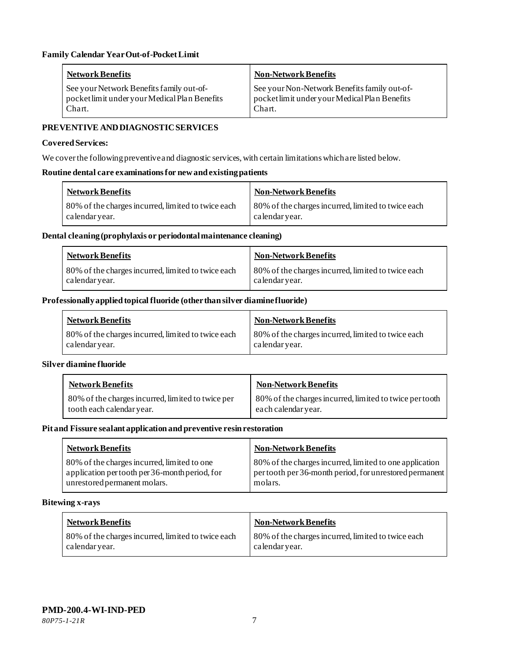| Network Benefits                              | <b>Non-Network Benefits</b>                   |
|-----------------------------------------------|-----------------------------------------------|
| See your Network Benefits family out-of-      | See your Non-Network Benefits family out-of-  |
| pocket limit under your Medical Plan Benefits | pocket limit under your Medical Plan Benefits |
| Chart.                                        | Chart.                                        |

## **PREVENTIVE AND DIAGNOSTICSERVICES**

#### **Covered Services:**

We cover the following preventive and diagnostic services, with certain limitations which are listed below.

#### **Routine dental care examinations for new and existing patients**

| <b>Network Benefits</b>                            | Non-Network Benefits                               |
|----------------------------------------------------|----------------------------------------------------|
| 80% of the charges incurred, limited to twice each | 80% of the charges incurred, limited to twice each |
| calendar year.                                     | calendar vear.                                     |

## **Dental cleaning (prophylaxis or periodontal maintenance cleaning)**

| <b>Network Benefits</b>                            | Non-Network Benefits                               |
|----------------------------------------------------|----------------------------------------------------|
| 80% of the charges incurred, limited to twice each | 80% of the charges incurred, limited to twice each |
| calendar year.                                     | calendar year.                                     |

## **Professionally applied topical fluoride (other than silver diamine fluoride)**

| <b>Network Benefits</b>                                              | <b>Non-Network Benefits</b>                                          |
|----------------------------------------------------------------------|----------------------------------------------------------------------|
| 80% of the charges incurred, limited to twice each<br>calendar year. | 80% of the charges incurred, limited to twice each<br>calendar year. |

## **Silver diamine fluoride**

| <b>Network Benefits</b>                           | <b>Non-Network Benefits</b>                             |
|---------------------------------------------------|---------------------------------------------------------|
| 80% of the charges incurred, limited to twice per | 80% of the charges incurred, limited to twice per tooth |
| tooth each calendar year.                         | each calendar year.                                     |

## **Pit and Fissure sealant application and preventive resin restoration**

| <b>Network Benefits</b>                        | <b>Non-Network Benefits</b>                             |
|------------------------------------------------|---------------------------------------------------------|
| 80% of the charges incurred, limited to one    | 80% of the charges incurred, limited to one application |
| application per tooth per 36-month period, for | pertooth per 36-month period, for unrestored permanent  |
| unrestored permanent molars.                   | molars.                                                 |

#### **Bitewing x-rays**

| <b>Network Benefits</b>                            | <b>Non-Network Benefits</b>                        |
|----------------------------------------------------|----------------------------------------------------|
| 80% of the charges incurred, limited to twice each | 80% of the charges incurred, limited to twice each |
| calendar year.                                     | calendar year.                                     |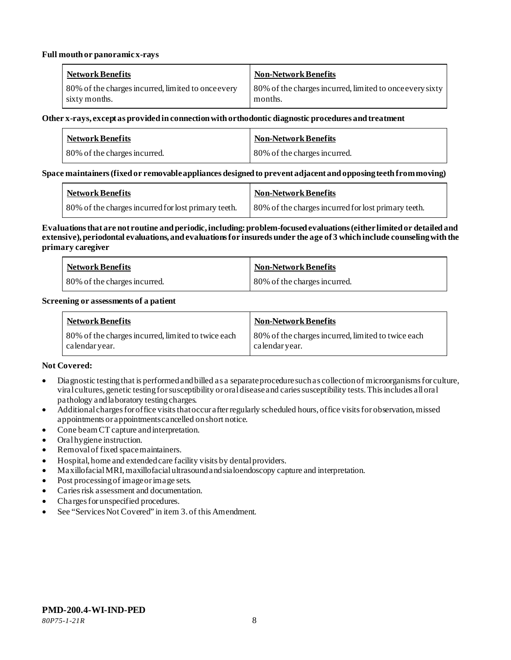#### **Full mouth or panoramic x-rays**

| <b>Network Benefits</b>                            | <b>Non-Network Benefits</b>                              |
|----------------------------------------------------|----------------------------------------------------------|
| 80% of the charges incurred, limited to once every | 80% of the charges incurred, limited to once every sixty |
| sixty months.                                      | months.                                                  |

#### **Other x-rays, except as provided in connection with orthodontic diagnostic procedures and treatment**

| <b>Network Benefits</b>      | <b>Non-Network Benefits</b>  |
|------------------------------|------------------------------|
| 80% of the charges incurred. | 80% of the charges incurred. |

## **Space maintainers (fixed or removable appliances designed to prevent adjacent and opposing teeth from moving)**

| <b>Network Benefits</b>                             | <b>Non-Network Benefits</b>                         |
|-----------------------------------------------------|-----------------------------------------------------|
| 80% of the charges incurred for lost primary teeth. | 80% of the charges incurred for lost primary teeth. |

#### **Evaluations that are not routine and periodic, including: problem-focused evaluations (either limited or detailed and extensive), periodontal evaluations, and evaluations for insureds under the age of 3 which include counseling with the primary caregiver**

| <b>Network Benefits</b>      | <b>Non-Network Benefits</b>  |
|------------------------------|------------------------------|
| 80% of the charges incurred. | 80% of the charges incurred. |

#### **Screening or assessments of a patient**

| <b>Network Benefits</b>                            | Non-Network Benefits                               |
|----------------------------------------------------|----------------------------------------------------|
| 80% of the charges incurred, limited to twice each | 80% of the charges incurred, limited to twice each |
| calendar year.                                     | calendar year.                                     |

## **Not Covered:**

- Diagnostic testing that is performed and billed as a separate procedure such as collection of microorganisms for culture, viral cultures, genetic testing for susceptibility or oral disease and caries susceptibility tests. This includes all oral pathology and laboratory testing charges.
- Additional charges for office visits that occur after regularly scheduled hours, office visits for observation, missed appointments or appointments cancelled on short notice.
- Cone beam CT capture and interpretation.
- Oral hygiene instruction.
- Removal of fixed space maintainers.
- Hospital, home and extended care facility visits by dental providers.
- Maxillofacial MRI, maxillofacial ultrasound and sialoendoscopy capture and interpretation.
- Post processing of image or image sets.
- Caries risk assessment and documentation.
- Charges for unspecified procedures.
- See "Services Not Covered" in item 3. of this Amendment.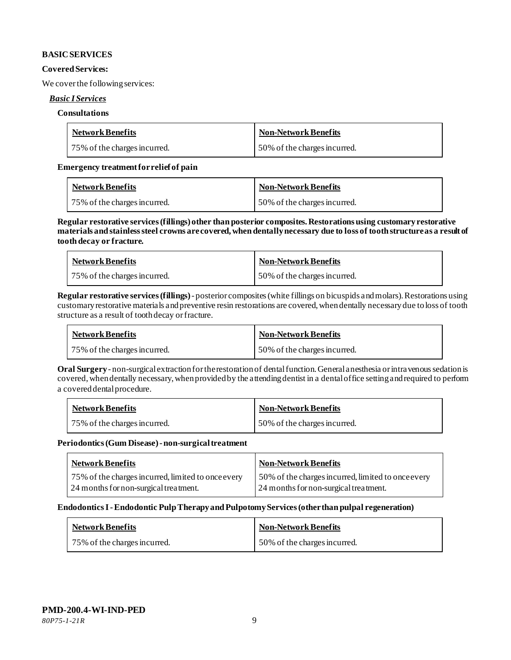## **BASIC SERVICES**

#### **Covered Services:**

We cover the following services:

#### *Basic I Services*

#### **Consultations**

| <b>Network Benefits</b>      | <b>Non-Network Benefits</b>  |
|------------------------------|------------------------------|
| 75% of the charges incurred. | 50% of the charges incurred. |

#### **Emergency treatment for relief of pain**

| <b>Network Benefits</b>      | <b>Non-Network Benefits</b>  |
|------------------------------|------------------------------|
| 75% of the charges incurred. | 50% of the charges incurred. |

**Regular restorative services (fillings) other than posterior composites. Restorations using customary restorative materials and stainless steel crowns are covered, when dentally necessary due to loss of tooth structure as a result of tooth decay or fracture.**

| <b>Network Benefits</b>      | <b>Non-Network Benefits</b>  |
|------------------------------|------------------------------|
| 75% of the charges incurred. | 50% of the charges incurred. |

**Regular restorative services (fillings)**- posterior composites (white fillings on bicuspids and molars).Restorations using customary restorative materials and preventive resin restorations are covered, when dentally necessary due to loss of tooth structure as a result of tooth decay or fracture.

| <b>Network Benefits</b>      | Non-Network Benefits         |
|------------------------------|------------------------------|
| 75% of the charges incurred. | 50% of the charges incurred. |

**Oral Surgery** - non-surgical extraction for the restoration of dental function.General anesthesia or intravenous sedation is covered, when dentally necessary, when provided by the attending dentist in a dental office setting and required to perform a covered dental procedure.

| <b>Network Benefits</b>      | Non-Network Benefits         |
|------------------------------|------------------------------|
| 75% of the charges incurred. | 50% of the charges incurred. |

#### **Periodontics (Gum Disease) -non-surgical treatment**

| <b>Network Benefits</b>                            | <b>Non-Network Benefits</b>                        |
|----------------------------------------------------|----------------------------------------------------|
| 75% of the charges incurred, limited to once every | 50% of the charges incurred, limited to once every |
| 24 months for non-surgical treatment.              | 24 months for non-surgical treatment.              |

#### **Endodontics I -Endodontic Pulp Therapy and Pulpotomy Services (other than pulpal regeneration)**

| <b>Network Benefits</b>      | Non-Network Benefits         |
|------------------------------|------------------------------|
| 75% of the charges incurred. | 50% of the charges incurred. |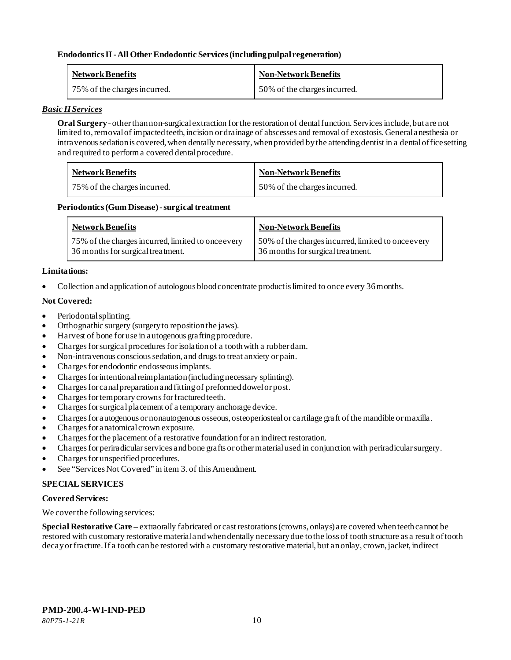## **Endodontics II -All Other Endodontic Services (including pulpal regeneration)**

| <b>Network Benefits</b>      | <b>Non-Network Benefits</b>  |
|------------------------------|------------------------------|
| 75% of the charges incurred. | 50% of the charges incurred. |

#### *Basic II Services*

**Oral Surgery** - other than non-surgical extraction for the restoration of dental function. Services include, but are not limited to, removal of impacted teeth, incision or drainage of abscesses and removal of exostosis. General anesthesia or intravenous sedation is covered, when dentally necessary, when provided by the attending dentist in a dental office setting and required to perform a covered dental procedure.

| <b>Network Benefits</b>      | <b>Non-Network Benefits</b>  |
|------------------------------|------------------------------|
| 75% of the charges incurred. | 50% of the charges incurred. |

#### Periodontics (Gum Disease) - surgical treatment

| <b>Network Benefits</b>                            | <b>Non-Network Benefits</b>                        |
|----------------------------------------------------|----------------------------------------------------|
| 75% of the charges incurred, limited to once every | 50% of the charges incurred, limited to once every |
| 36 months for surgical treatment.                  | 36 months for surgical treatment.                  |

#### **Limitations:**

• Collection and application of autologous blood concentrate product is limited to once every 36 months.

## **Not Covered:**

- Periodontal splinting.
- Orthognathic surgery (surgery to reposition the jaws).
- Harvest of bone for use in autogenous grafting procedure.
- Charges for surgical procedures for isolation of a tooth with a rubber dam.
- Non-intravenous conscious sedation, and drugs to treat anxiety or pain.
- Charges for endodontic endosseous implants.
- Charges for intentional reimplantation (including necessary splinting).
- Charges for canal preparation and fitting of preformed dowel or post.
- Charges for temporary crowns for fractured teeth.
- Charges for surgical placement of a temporary anchorage device.
- Charges for autogenous or nonautogenous osseous, osteoperiosteal or cartilage graft of the mandible or maxilla.
- Charges for anatomical crown exposure.
- Charges for the placement of a restorative foundation for an indirect restoration.
- Charges for periradicular services and bone grafts or other material used in conjunction with periradicular surgery.
- Charges for unspecified procedures.
- See "Services Not Covered" in item 3. of this Amendment.

## **SPECIAL SERVICES**

#### **Covered Services:**

We cover the following services:

**Special Restorative Care** – extraorally fabricated or cast restorations (crowns, onlays) are covered when teeth cannot be restored with customary restorative material and when dentally necessary due to the loss of tooth structure as a result of tooth decay or fracture. If a tooth can be restored with a customary restorative material, but an onlay, crown, jacket, indirect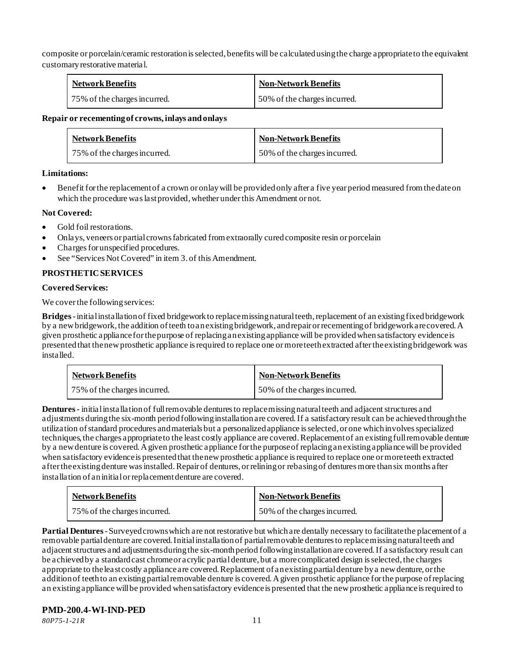composite or porcelain/ceramic restoration is selected, benefits will be calculated using the charge appropriate to the equivalent customary restorative material.

| <b>Network Benefits</b>      | <b>Non-Network Benefits</b>  |
|------------------------------|------------------------------|
| 75% of the charges incurred. | 50% of the charges incurred. |

#### **Repair or recementing of crowns, inlays and onlays**

| <b>Network Benefits</b>      | <b>Non-Network Benefits</b>  |
|------------------------------|------------------------------|
| 75% of the charges incurred. | 50% of the charges incurred. |

# **Limitations:**

• Benefit for the replacement of a crown or onlay will be provided only after a five year period measured from the date on which the procedure was last provided, whether under this Amendment or not.

# **Not Covered:**

- Gold foil restorations.
- Onlays, veneers or partial crowns fabricated from extraorally cured composite resin or porcelain
- Charges for unspecified procedures.
- See "Services Not Covered" in item 3. of this Amendment.

# **PROSTHETIC SERVICES**

## **Covered Services:**

We cover the following services:

**Bridges** -initial installation of fixed bridgework to replace missing natural teeth, replacement of an existing fixed bridgework by a new bridgework, the addition of teeth to an existing bridgework, and repair or recementing of bridgework are covered. A given prosthetic appliance for the purpose of replacing an existing appliance will be provided when satisfactory evidence is presented that the new prosthetic appliance is required to replace one or more teeth extracted after the existing bridgework was installed.

| <b>Network Benefits</b>      | <b>Non-Network Benefits</b>  |
|------------------------------|------------------------------|
| 75% of the charges incurred. | 50% of the charges incurred. |

**Dentures -** initial installation of full removable dentures to replace missing natural teeth and adjacent structures and adjustments during the six-month period following installation are covered. If a satisfactory result can be achieved through the utilization of standard procedures and materials but a personalized appliance is selected, or one which involves specialized techniques, the charges appropriate to the least costly appliance are covered. Replacement of an existing full removable denture by a new denture is covered. A given prosthetic appliance for the purpose of replacing an existing appliance will be provided when satisfactory evidence is presented that the new prosthetic appliance is required to replace one or more teeth extracted after the existing denture was installed. Repair of dentures, or relining or rebasing of dentures more than six months after installation of an initial or replacement denture are covered.

| <b>Network Benefits</b>      | <b>Non-Network Benefits</b>  |
|------------------------------|------------------------------|
| 75% of the charges incurred. | 50% of the charges incurred. |

**Partial Dentures** -Surveyed crowns which are not restorative but which are dentally necessary to facilitate the placement of a removable partial denture are covered. Initial installation of partial removable dentures to replace missing natural teeth and adjacent structures and adjustments during the six-month period following installation are covered. If a satisfactory result can be achieved by a standard cast chrome or acrylic partial denture, but a more complicated design is selected, the charges appropriate to the least costly appliance are covered. Replacement of an existing partial denture by a new denture, or the addition of teeth to an existing partial removable denture is covered. A given prosthetic appliance for the purpose of replacing an existing appliance will be provided when satisfactory evidence is presented that the new prosthetic appliance is required to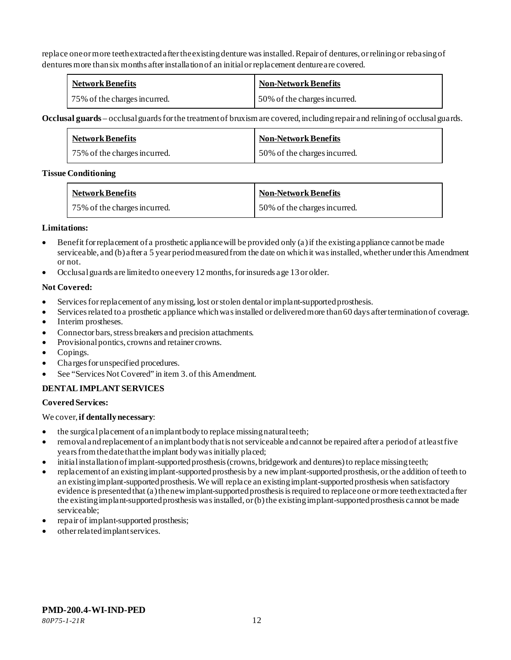replace one or more teeth extracted after the existing denture was installed. Repair of dentures, or relining or rebasing of dentures more than six months after installation of an initial or replacement denture are covered.

| <b>Network Benefits</b>      | <b>Non-Network Benefits</b>  |
|------------------------------|------------------------------|
| 75% of the charges incurred. | 50% of the charges incurred. |

**Occlusal guards** – occlusal guards for the treatment of bruxism are covered, including repair and relining of occlusal guards.

| <b>Network Benefits</b>      | Non-Network Benefits         |
|------------------------------|------------------------------|
| 75% of the charges incurred. | 50% of the charges incurred. |

## **Tissue Conditioning**

| <b>Network Benefits</b>      | <b>Non-Network Benefits</b>  |
|------------------------------|------------------------------|
| 75% of the charges incurred. | 50% of the charges incurred. |

# **Limitations:**

- Benefit for replacement of a prosthetic appliance will be provided only (a) if the existing appliance cannot be made serviceable, and (b) after a 5 year period measured from the date on which it was installed, whether under this Amendment or not.
- Occlusal guards are limited to one every 12 months, for insureds age 13 or older.

# **Not Covered:**

- Services for replacement of any missing, lost or stolen dental or implant-supported prosthesis.
- Services related to a prosthetic appliance which was installed or delivered more than 60 days after termination of coverage.
- Interim prostheses.
- Connector bars, stress breakers and precision attachments.
- Provisional pontics, crowns and retainer crowns.
- Copings.
- Charges for unspecified procedures.
- See "Services Not Covered" in item 3. of this Amendment.

# **DENTAL IMPLANT SERVICES**

# **Covered Services:**

We cover, **if dentally necessary**:

- the surgical placement of an implant body to replace missing natural teeth;
- removal and replacement of an implant body that is not serviceable and cannot be repaired after a period of at least five years from the date that the implant body was initially placed;
- initial installation of implant-supported prosthesis (crowns, bridgework and dentures) to replace missing teeth;
- replacement of an existing implant-supported prosthesis by a new implant-supported prosthesis, or the addition of teeth to an existing implant-supported prosthesis. We will replace an existing implant-supported prosthesis when satisfactory evidence is presented that (a) the new implant-supported prosthesis is required to replace one or more teeth extracted after the existing implant-supported prosthesis was installed, or (b) the existing implant-supported prosthesis cannot be made serviceable;
- repair of implant-supported prosthesis;
- other related implant services.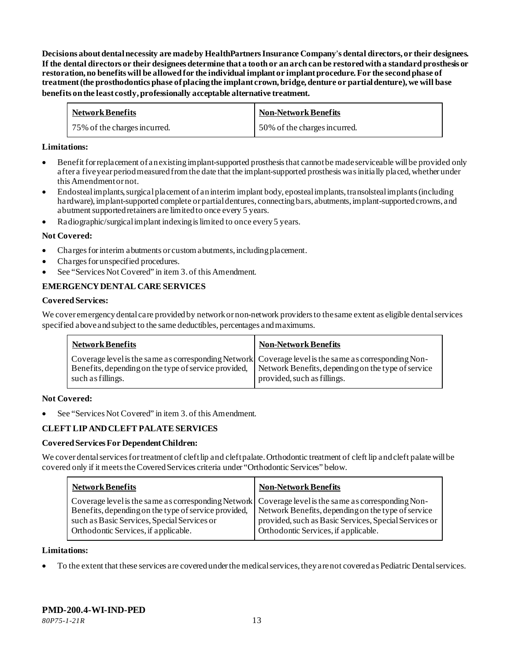**Decisions about dental necessity are made by HealthPartners Insurance Company**'**s dental directors, or their designees. If the dental directors or their designees determine that a tooth or an arch can be restored with a standard prosthesis or restoration, no benefits will be allowed for the individual implant or implant procedure. For the second phase of treatment (the prosthodontics phase of placing the implant crown, bridge, denture or partial denture), we will base benefits on the least costly, professionally acceptable alternative treatment.**

| <b>Network Benefits</b>      | <b>Non-Network Benefits</b>  |
|------------------------------|------------------------------|
| 75% of the charges incurred. | 50% of the charges incurred. |

## **Limitations:**

- Benefit for replacement of an existing implant-supported prosthesis that cannot be made serviceable will be provided only after a five year period measured from the date that the implant-supported prosthesis was initially placed, whether under this Amendment or not.
- Endosteal implants, surgical placement of an interim implant body, eposteal implants, transolsteal implants (including hardware), implant-supported complete or partial dentures, connecting bars, abutments, implant-supported crowns, and abutment supported retainers are limited to once every 5 years.
- Radiographic/surgical implant indexing is limited to once every 5 years.

#### **Not Covered:**

- Charges for interim abutments or custom abutments, including placement.
- Charges for unspecified procedures.
- See "Services Not Covered" in item 3. of this Amendment.

## **EMERGENCY DENTAL CARE SERVICES**

#### **Covered Services:**

We cover emergency dental care provided by network or non-network providersto the same extent as eligible dental services specified above and subject to the same deductibles, percentages and maximums.

| <b>Network Benefits</b> | <b>Non-Network Benefits</b>                                                                                                                                                                                                                    |
|-------------------------|------------------------------------------------------------------------------------------------------------------------------------------------------------------------------------------------------------------------------------------------|
| such as fillings.       | Coverage level is the same as corresponding Network Coverage level is the same as corresponding Non-<br>Benefits, depending on the type of service provided, Network Benefits, depending on the type of service<br>provided, such as fillings. |

#### **Not Covered:**

See "Services Not Covered" in item 3. of this Amendment.

## **CLEFT LIP AND CLEFT PALATE SERVICES**

#### **Covered Services For Dependent Children:**

We cover dental services for treatment of cleft lip and cleft palate. Orthodontic treatment of cleft lip and cleft palate will be covered only if it meets the Covered Services criteria under "Orthodontic Services" below.

| <b>Network Benefits</b>                                                                                                                                                                                                                             | <b>Non-Network Benefits</b>                                                                                                                         |
|-----------------------------------------------------------------------------------------------------------------------------------------------------------------------------------------------------------------------------------------------------|-----------------------------------------------------------------------------------------------------------------------------------------------------|
| Coverage level is the same as corresponding Network Coverage level is the same as corresponding Non-<br>Benefits, depending on the type of service provided,<br>such as Basic Services, Special Services or<br>Orthodontic Services, if applicable. | Network Benefits, depending on the type of service<br>provided, such as Basic Services, Special Services or<br>Orthodontic Services, if applicable. |

#### **Limitations:**

• To the extent that these services are covered under the medical services, they are not covered as Pediatric Dental services.